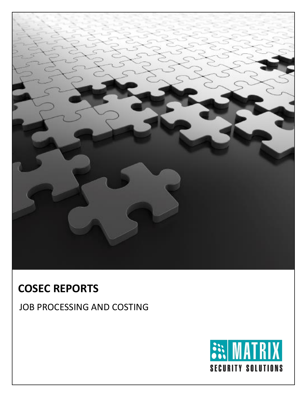

# **COSEC REPORTS**

JOB PROCESSING AND COSTING

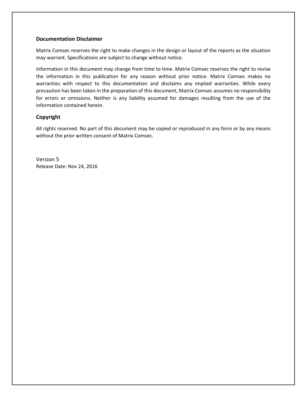#### **Documentation Disclaimer**

Matrix Comsec reserves the right to make changes in the design or layout of the reports as the situation may warrant. Specifications are subject to change without notice.

Information in this document may change from time to time. Matrix Comsec reserves the right to revise the information in this publication for any reason without prior notice. Matrix Comsec makes no warranties with respect to this documentation and disclaims any implied warranties. While every precaution has been taken in the preparation of this document, Matrix Comsec assumes no responsibility for errors or omissions. Neither is any liability assumed for damages resulting from the use of the information contained herein.

#### **Copyright**

All rights reserved. No part of this document may be copied or reproduced in any form or by any means without the prior written consent of Matrix Comsec.

Version 5 Release Date: Nov 24, 2016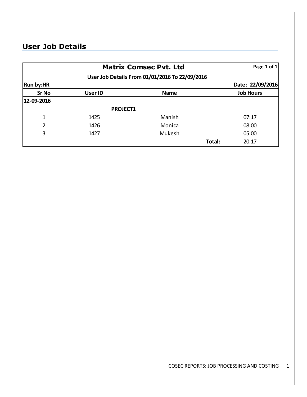### **User Job Details**

|                  | Page 1 of 1     |             |                  |
|------------------|-----------------|-------------|------------------|
|                  |                 |             |                  |
| <b>Run by:HR</b> |                 |             | Date: 22/09/2016 |
| <b>Sr No</b>     | <b>User ID</b>  | <b>Name</b> | <b>Job Hours</b> |
| 12-09-2016       |                 |             |                  |
|                  | <b>PROJECT1</b> |             |                  |
| 1                | 1425            | Manish      | 07:17            |
| $\overline{2}$   | 1426            | Monica      | 08:00            |
| 3                | 1427            | Mukesh      | 05:00            |
|                  |                 | Total:      | 20:17            |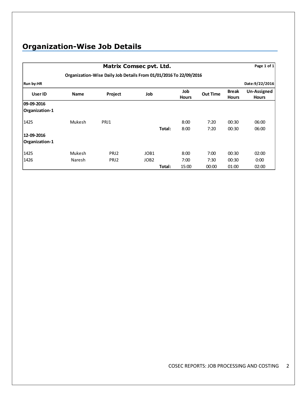# **Organization-Wise Job Details**

|                | <b>Matrix Comsec pvt. Ltd.</b>                                    |                  |                  |        |                     |                 |                              |                             |  |  |
|----------------|-------------------------------------------------------------------|------------------|------------------|--------|---------------------|-----------------|------------------------------|-----------------------------|--|--|
|                | Organization-Wise Daily Job Details From 01/01/2016 To 22/09/2016 |                  |                  |        |                     |                 |                              |                             |  |  |
| Run by:HR      |                                                                   |                  |                  |        |                     |                 |                              | Date:9/22/2016              |  |  |
| User ID        | <b>Name</b>                                                       | Project          | Job              |        | Job<br><b>Hours</b> | <b>Out Time</b> | <b>Break</b><br><b>Hours</b> | Un-Assigned<br><b>Hours</b> |  |  |
| 09-09-2016     |                                                                   |                  |                  |        |                     |                 |                              |                             |  |  |
| Organization-1 |                                                                   |                  |                  |        |                     |                 |                              |                             |  |  |
| 1425           | <b>Mukesh</b>                                                     | PRJ1             |                  |        | 8:00                | 7:20            | 00:30                        | 06:00                       |  |  |
|                |                                                                   |                  |                  | Total: | 8:00                | 7:20            | 00:30                        | 06:00                       |  |  |
| 12-09-2016     |                                                                   |                  |                  |        |                     |                 |                              |                             |  |  |
| Organization-1 |                                                                   |                  |                  |        |                     |                 |                              |                             |  |  |
| 1425           | <b>Mukesh</b>                                                     | PRJ <sub>2</sub> | JOB1             |        | 8:00                | 7:00            | 00:30                        | 02:00                       |  |  |
| 1426           | <b>Naresh</b>                                                     | PRJ2             | JOB <sub>2</sub> |        | 7:00                | 7:30            | 00:30                        | 0:00                        |  |  |
|                |                                                                   |                  |                  | Total: | 15:00               | 00:00           | 01:00                        | 02:00                       |  |  |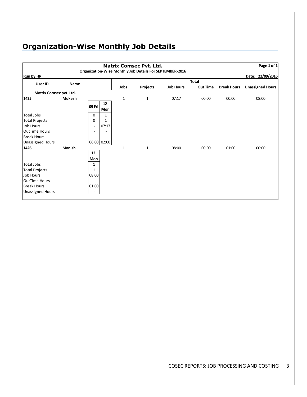# **Organization-Wise Monthly Job Details**

| <b>Matrix Comsec Pvt. Ltd.</b><br>Organization-Wise Monthly Job Details For SEPTEMBER-2016 |               |                          |             |      |              |                  | Page 1 of 1     |                    |                         |
|--------------------------------------------------------------------------------------------|---------------|--------------------------|-------------|------|--------------|------------------|-----------------|--------------------|-------------------------|
| <b>Run by:HR</b>                                                                           |               |                          |             |      |              |                  |                 |                    | Date: 22/09/2016        |
| User ID                                                                                    | Name          |                          |             |      |              |                  | <b>Total</b>    |                    |                         |
|                                                                                            |               |                          |             | Jobs | Projects     | <b>Job Hours</b> | <b>Out Time</b> | <b>Break Hours</b> | <b>Unassigned Hours</b> |
| Matrix Comsec pvt. Ltd.                                                                    |               |                          |             |      |              |                  |                 |                    |                         |
| 1425                                                                                       | <b>Mukesh</b> |                          |             | 1    | $\mathbf{1}$ | 07:17            | 00:00           | 00:00              | 08:00                   |
|                                                                                            |               | 09 Fri                   | 12          |      |              |                  |                 |                    |                         |
|                                                                                            |               |                          | Mon         |      |              |                  |                 |                    |                         |
| <b>Total Jobs</b>                                                                          |               | 0                        | 1           |      |              |                  |                 |                    |                         |
| <b>Total Projects</b>                                                                      |               | 0                        | 1           |      |              |                  |                 |                    |                         |
| Job Hours                                                                                  |               | $\overline{\phantom{a}}$ | 07:17       |      |              |                  |                 |                    |                         |
| <b>OutTime Hours</b>                                                                       |               | $\overline{\phantom{a}}$ |             |      |              |                  |                 |                    |                         |
| <b>Break Hours</b>                                                                         |               |                          |             |      |              |                  |                 |                    |                         |
| <b>Unassigned Hours</b>                                                                    |               |                          | 06:00 02:00 |      |              |                  |                 |                    |                         |
| 1426                                                                                       | Manish        |                          |             | 1    | $\mathbf{1}$ | 08:00            | 00:00           | 01:00              | 00:00                   |
|                                                                                            |               | 12                       |             |      |              |                  |                 |                    |                         |
|                                                                                            |               | Mon                      |             |      |              |                  |                 |                    |                         |
| <b>Total Jobs</b>                                                                          |               | 1                        |             |      |              |                  |                 |                    |                         |
| <b>Total Projects</b>                                                                      |               | 1                        |             |      |              |                  |                 |                    |                         |
| Job Hours                                                                                  |               | 08:00                    |             |      |              |                  |                 |                    |                         |
| <b>OutTime Hours</b>                                                                       |               | $\overline{\phantom{a}}$ |             |      |              |                  |                 |                    |                         |
| <b>Break Hours</b>                                                                         |               | 01:00                    |             |      |              |                  |                 |                    |                         |
| Unassigned Hours                                                                           |               | $\overline{\phantom{a}}$ |             |      |              |                  |                 |                    |                         |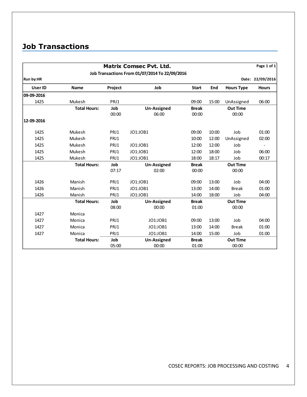### **Job Transactions**

|            |                     |              | <b>Matrix Comsec Pvt. Ltd.</b>                 |                       |       |                          | Page 1 of 1      |
|------------|---------------------|--------------|------------------------------------------------|-----------------------|-------|--------------------------|------------------|
|            |                     |              | Job Transactions From 01/07/2014 To 22/09/2016 |                       |       |                          |                  |
| Run by:HR  |                     |              |                                                |                       |       |                          | Date: 22/09/2016 |
| User ID    | <b>Name</b>         | Project      | Job                                            | <b>Start</b>          | End   | <b>Hours Type</b>        | <b>Hours</b>     |
| 09-09-2016 |                     |              |                                                |                       |       |                          |                  |
| 1425       | Mukesh              | PRJ1         |                                                | 09:00                 | 15:00 | UnAssigned               | 06:00            |
|            | <b>Total Hours:</b> | Job<br>00:00 | <b>Un-Assigned</b><br>06:00                    | <b>Break</b><br>00:00 |       | <b>Out Time</b><br>00:00 |                  |
| 12-09-2016 |                     |              |                                                |                       |       |                          |                  |
| 1425       | Mukesh              | PRJ1         | JO1:JOB1                                       | 09:00                 | 10:00 | Job                      | 01:00            |
| 1425       | Mukesh              | PRJ1         |                                                | 10:00                 | 12:00 | UnAssigned               | 02:00            |
| 1425       | Mukesh              | PRJ1         | JO1:JOB1                                       | 12:00                 | 12:00 | Job                      |                  |
| 1425       | Mukesh              | PRJ1         | JO1:JOB1                                       | 12:00                 | 18:00 | Job                      | 06:00            |
| 1425       | Mukesh              | PRJ1         | JO1:JOB1                                       | 18:00                 | 18:17 | Job                      | 00:17            |
|            | <b>Total Hours:</b> | Job          | <b>Un-Assigned</b>                             | <b>Break</b>          |       | <b>Out Time</b>          |                  |
|            |                     | 07:17        | 02:00                                          | 00:00                 |       | 00:00                    |                  |
| 1426       | Manish              | PRJ1         | JO1:JOB1                                       | 09:00                 | 13:00 | Job                      | 04:00            |
| 1426       | Manish              | PRJ1         | JO1:JOB1                                       | 13:00                 | 14:00 | <b>Break</b>             | 01:00            |
| 1426       | Manish              | PRJ1         | JO1:JOB1                                       | 14:00                 | 18:00 | Job                      | 04:00            |
|            | <b>Total Hours:</b> | Job          | <b>Un-Assigned</b>                             | <b>Break</b>          |       | <b>Out Time</b>          |                  |
|            |                     | 08:00        | 00:00                                          | 01:00                 |       | 00:00                    |                  |
| 1427       | Monica              |              |                                                |                       |       |                          |                  |
| 1427       | Monica              | PRJ1         | JO1:JOB1                                       | 09:00                 | 13:00 | Job                      | 04:00            |
| 1427       | Monica              | PRJ1         | JO1:JOB1                                       | 13:00                 | 14:00 | <b>Break</b>             | 01:00            |
| 1427       | Monica              | PRJ1         | JO1:JOB1                                       | 14:00                 | 15:00 | Job                      | 01:00            |
|            | <b>Total Hours:</b> | Job          | Un-Assigned                                    | <b>Break</b>          |       | <b>Out Time</b>          |                  |
|            |                     | 05:00        | 00:00                                          | 01:00                 |       | 00:00                    |                  |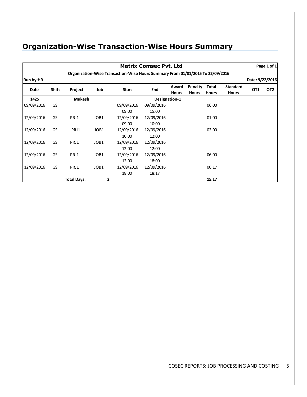### **Organization-Wise Transaction-Wise Hours Summary**

|            |       |                    |      |                                                                                | <b>Matrix Comsec Pvt. Ltd</b> |              |              |              |                 |                 | Page 1 of 1     |
|------------|-------|--------------------|------|--------------------------------------------------------------------------------|-------------------------------|--------------|--------------|--------------|-----------------|-----------------|-----------------|
|            |       |                    |      | Organization-Wise Transaction-Wise Hours Summary From 01/01/2015 To 22/09/2016 |                               |              |              |              |                 |                 |                 |
| Run by:HR  |       |                    |      |                                                                                |                               |              |              |              |                 | Date: 9/22/2016 |                 |
| Date       | Shift | Project            | Job  | <b>Start</b>                                                                   | <b>End</b>                    | Award        | Penalty      | Total        | <b>Standard</b> | OT <sub>1</sub> | OT <sub>2</sub> |
|            |       |                    |      |                                                                                |                               | <b>Hours</b> | <b>Hours</b> | <b>Hours</b> | <b>Hours</b>    |                 |                 |
| 1425       |       | <b>Mukesh</b>      |      |                                                                                | Designation-1                 |              |              |              |                 |                 |                 |
| 09/09/2016 | GS    |                    |      | 09/09/2016                                                                     | 09/09/2016                    |              |              | 06:00        |                 |                 |                 |
|            |       |                    |      | 09:00                                                                          | 15:00                         |              |              |              |                 |                 |                 |
| 12/09/2016 | GS    | PRJ1               | JOB1 | 12/09/2016                                                                     | 12/09/2016                    |              |              | 01:00        |                 |                 |                 |
|            |       |                    |      | 09:00                                                                          | 10:00                         |              |              |              |                 |                 |                 |
| 12/09/2016 | GS    | PRJ1               | JOB1 | 12/09/2016                                                                     | 12/09/2016                    |              |              | 02:00        |                 |                 |                 |
|            |       |                    |      | 10:00                                                                          | 12:00                         |              |              |              |                 |                 |                 |
| 12/09/2016 | GS    | PRJ1               | JOB1 | 12/09/2016                                                                     | 12/09/2016                    |              |              |              |                 |                 |                 |
|            |       |                    |      | 12:00                                                                          | 12:00                         |              |              |              |                 |                 |                 |
| 12/09/2016 | GS    | PRJ1               | JOB1 | 12/09/2016                                                                     | 12/09/2016                    |              |              | 06:00        |                 |                 |                 |
|            |       |                    |      | 12:00                                                                          | 18:00                         |              |              |              |                 |                 |                 |
| 12/09/2016 | GS    | PRJ1               | JOB1 | 12/09/2016                                                                     | 12/09/2016                    |              |              | 00:17        |                 |                 |                 |
|            |       |                    |      | 18:00                                                                          | 18:17                         |              |              |              |                 |                 |                 |
|            |       | <b>Total Days:</b> | 2    |                                                                                |                               |              |              | 15:17        |                 |                 |                 |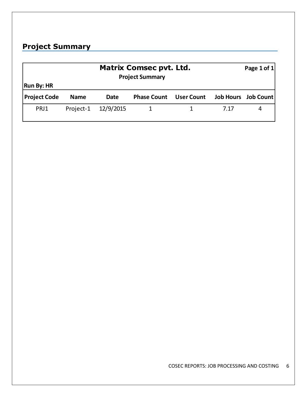### **Project Summary**

| <b>Run By: HR</b>   | <b>Matrix Comsec pvt. Ltd.</b><br><b>Project Summary</b> |           |                    |                   |                  |           |  |  |
|---------------------|----------------------------------------------------------|-----------|--------------------|-------------------|------------------|-----------|--|--|
| <b>Project Code</b> | <b>Name</b>                                              | Date      | <b>Phase Count</b> | <b>User Count</b> | <b>Job Hours</b> | Job Count |  |  |
| PRJ1                | Project-1                                                | 12/9/2015 |                    |                   | 7.17             |           |  |  |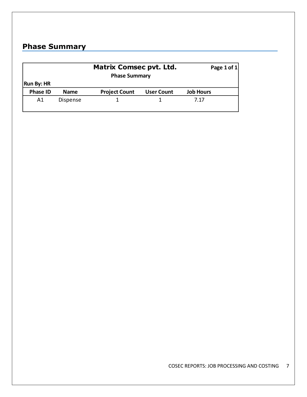## **Phase Summary**

|                   |                 | <b>Matrix Comsec pvt. Ltd.</b><br><b>Phase Summary</b> | Page 1 of $1$     |                  |
|-------------------|-----------------|--------------------------------------------------------|-------------------|------------------|
| <b>Run By: HR</b> |                 |                                                        |                   |                  |
| <b>Phase ID</b>   | <b>Name</b>     | <b>Project Count</b>                                   | <b>User Count</b> | <b>Job Hours</b> |
| A1                | <b>Dispense</b> |                                                        |                   | 7.17             |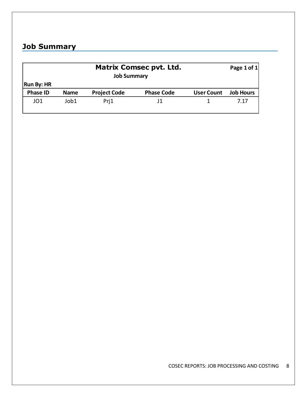### **Job Summary**

|                   | <b>Matrix Comsec pvt. Ltd.</b><br><b>Job Summary</b> |                     |                   |                   |                  |  |  |  |  |
|-------------------|------------------------------------------------------|---------------------|-------------------|-------------------|------------------|--|--|--|--|
| <b>Run By: HR</b> |                                                      |                     |                   |                   |                  |  |  |  |  |
| <b>Phase ID</b>   | <b>Name</b>                                          | <b>Project Code</b> | <b>Phase Code</b> | <b>User Count</b> | <b>Job Hours</b> |  |  |  |  |
| JO1               | Job1                                                 | Pri1                | .11               |                   | 7.17             |  |  |  |  |